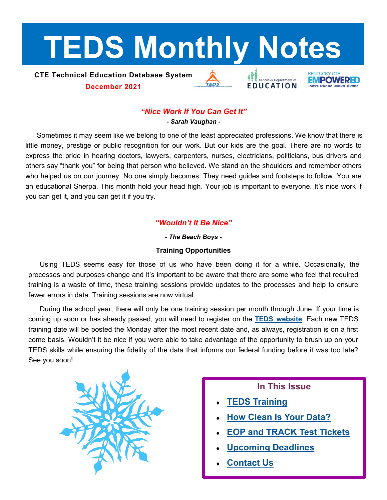# <span id="page-0-0"></span>**TEDS Monthly Notes**

# **CTE Technical Education Database System December 2021**

# TED:

Kentucky Department of



# *"Nice Work If You Can Get It"*

*- Sarah Vaughan -*

Sometimes it may seem like we belong to one of the least appreciated professions. We know that there is little money, prestige or public recognition for our work. But our kids are the goal. There are no words to express the pride in hearing doctors, lawyers, carpenters, nurses, electricians, politicians, bus drivers and others say "thank you" for being that person who believed. We stand on the shoulders and remember others who helped us on our journey. No one simply becomes. They need guides and footsteps to follow. You are an educational Sherpa. This month hold your head high. Your job is important to everyone. It's nice work if you can get it, and you can get it if you try.

# *"Wouldn't It Be Nice"*

*- The Beach Boys -*

# **Training Opportunities**

Using TEDS seems easy for those of us who have been doing it for a while. Occasionally, the processes and purposes change and it's important to be aware that there are some who feel that required training is a waste of time, these training sessions provide updates to the processes and help to ensure fewer errors in data. Training sessions are now virtual.

During the school year, there will only be one training session per month through June. If your time is coming up soon or has already passed, you will need to register on the **[TEDS website](https://education.ky.gov/CTE/teds/Pages/default.aspx)**. Each new TEDS training date will be posted the Monday after the most recent date and, as always, registration is on a first come basis. Wouldn't it be nice if you were able to take advantage of the opportunity to brush up on your TEDS skills while ensuring the fidelity of the data that informs our federal funding before it was too late? See you soon!



# **In This Issue**

- **[TEDS Training](#page-0-0)**
- **[How Clean Is Your Data?](#page-1-0)**
- **[EOP and TRACK Test Tickets](#page-1-0)**
- **[Upcoming Deadlines](#page-2-0)**
- **[Contact Us](#page-2-0)**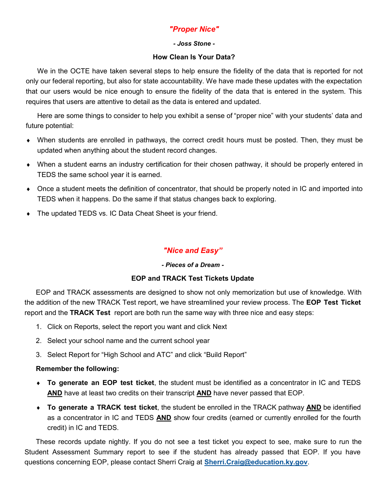# *"Proper Nice"*

#### *- Joss Stone -*

#### **How Clean Is Your Data?**

<span id="page-1-0"></span>We in the OCTE have taken several steps to help ensure the fidelity of the data that is reported for not only our federal reporting, but also for state accountability. We have made these updates with the expectation that our users would be nice enough to ensure the fidelity of the data that is entered in the system. This requires that users are attentive to detail as the data is entered and updated.

Here are some things to consider to help you exhibit a sense of "proper nice" with your students' data and future potential:

- When students are enrolled in pathways, the correct credit hours must be posted. Then, they must be updated when anything about the student record changes.
- When a student earns an industry certification for their chosen pathway, it should be properly entered in TEDS the same school year it is earned.
- Once a student meets the definition of concentrator, that should be properly noted in IC and imported into TEDS when it happens. Do the same if that status changes back to exploring.
- The updated TEDS vs. IC Data Cheat Sheet is your friend.

# *"Nice and Easy"*

#### *- Pieces of a Dream -*

### **EOP and TRACK Test Tickets Update**

EOP and TRACK assessments are designed to show not only memorization but use of knowledge. With the addition of the new TRACK Test report, we have streamlined your review process. The **EOP Test Ticket**  report and the **TRACK Test** report are both run the same way with three nice and easy steps:

- 1. Click on Reports, select the report you want and click Next
- 2. Select your school name and the current school year
- 3. Select Report for "High School and ATC" and click "Build Report"

### **Remember the following:**

- **To generate an EOP test ticket**, the student must be identified as a concentrator in IC and TEDS **AND** have at least two credits on their transcript **AND** have never passed that EOP.
- **To generate a TRACK test ticket**, the student be enrolled in the TRACK pathway **AND** be identified as a concentrator in IC and TEDS **AND** show four credits (earned or currently enrolled for the fourth credit) in IC and TEDS.

These records update nightly. If you do not see a test ticket you expect to see, make sure to run the Student Assessment Summary report to see if the student has already passed that EOP. If you have questions concerning EOP, please contact Sherri Craig at **[Sherri.Craig@education.ky.gov](mailto:Sherri.Craig@education.ky.gov)**.